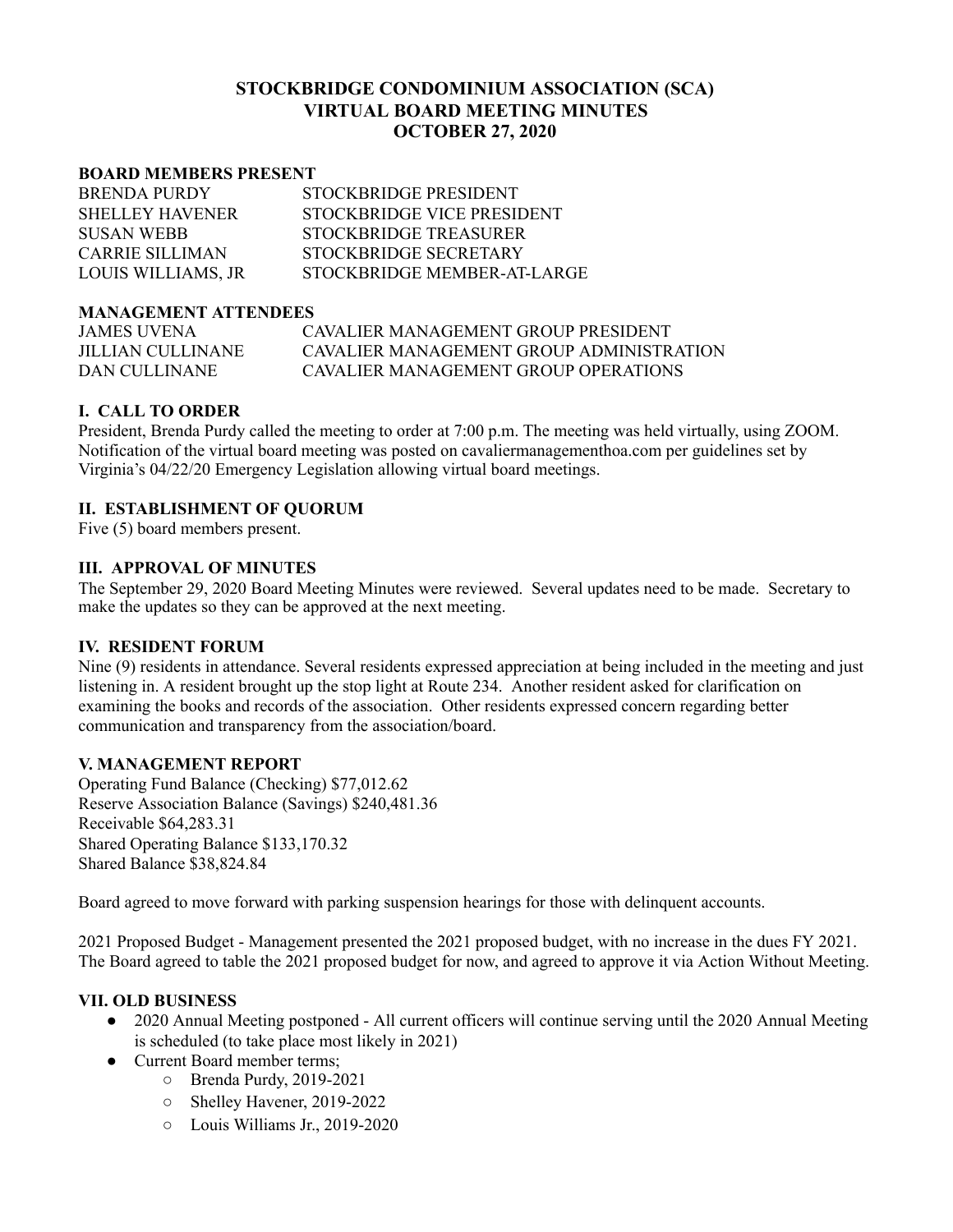# **STOCKBRIDGE CONDOMINIUM ASSOCIATION (SCA) VIRTUAL BOARD MEETING MINUTES OCTOBER 27, 2020**

#### **BOARD MEMBERS PRESENT**

| <b>BRENDA PURDY</b>    | STOCKBRIDGE PRESIDENT       |
|------------------------|-----------------------------|
| <b>SHELLEY HAVENER</b> | STOCKBRIDGE VICE PRESIDENT  |
| <b>SUSAN WEBB</b>      | STOCKBRIDGE TREASURER       |
| CARRIE SILLIMAN        | STOCKBRIDGE SECRETARY       |
| LOUIS WILLIAMS, JR     | STOCKBRIDGE MEMBER-AT-LARGE |

#### **MANAGEMENT ATTENDEES**

| JAMES UVENA       | CAVALIER MANAGEMENT GROUP PRESIDENT      |
|-------------------|------------------------------------------|
| JILLIAN CULLINANE | CAVALIER MANAGEMENT GROUP ADMINISTRATION |
| DAN CULLINANE     | CAVALIER MANAGEMENT GROUP OPER ATIONS    |

## **I. CALL TO ORDER**

President, Brenda Purdy called the meeting to order at 7:00 p.m. The meeting was held virtually, using ZOOM. Notification of the virtual board meeting was posted on cavaliermanagementhoa.com per guidelines set by Virginia's 04/22/20 Emergency Legislation allowing virtual board meetings.

## **II. ESTABLISHMENT OF QUORUM**

Five (5) board members present.

#### **III. APPROVAL OF MINUTES**

The September 29, 2020 Board Meeting Minutes were reviewed. Several updates need to be made. Secretary to make the updates so they can be approved at the next meeting.

#### **IV. RESIDENT FORUM**

Nine (9) residents in attendance. Several residents expressed appreciation at being included in the meeting and just listening in. A resident brought up the stop light at Route 234. Another resident asked for clarification on examining the books and records of the association. Other residents expressed concern regarding better communication and transparency from the association/board.

#### **V. MANAGEMENT REPORT**

Operating Fund Balance (Checking) \$77,012.62 Reserve Association Balance (Savings) \$240,481.36 Receivable \$64,283.31 Shared Operating Balance \$133,170.32 Shared Balance \$38,824.84

Board agreed to move forward with parking suspension hearings for those with delinquent accounts.

2021 Proposed Budget - Management presented the 2021 proposed budget, with no increase in the dues FY 2021. The Board agreed to table the 2021 proposed budget for now, and agreed to approve it via Action Without Meeting.

### **VII. OLD BUSINESS**

- 2020 Annual Meeting postponed All current officers will continue serving until the 2020 Annual Meeting is scheduled (to take place most likely in 2021)
- Current Board member terms;
	- Brenda Purdy, 2019-2021
	- Shelley Havener, 2019-2022
	- Louis Williams Jr., 2019-2020